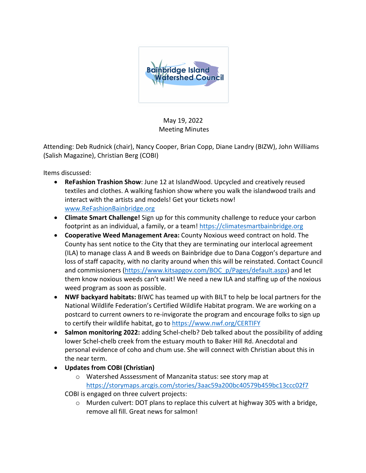

May 19, 2022 Meeting Minutes

Attending: Deb Rudnick (chair), Nancy Cooper, Brian Copp, Diane Landry (BIZW), John Williams (Salish Magazine), Christian Berg (COBI)

Items discussed:

- **ReFashion Trashion Show**: June 12 at IslandWood. Upcycled and creatively reused textiles and clothes. A walking fashion show where you walk the islandwood trails and interact with the artists and models! Get your tickets now! www.ReFashionBainbridge.org
- **Climate Smart Challenge!** Sign up for this community challenge to reduce your carbon footprint as an individual, a family, or a team! https://climatesmartbainbridge.org
- **Cooperative Weed Management Area:** County Noxious weed contract on hold. The County has sent notice to the City that they are terminating our interlocal agreement (ILA) to manage class A and B weeds on Bainbridge due to Dana Coggon's departure and loss of staff capacity, with no clarity around when this will be reinstated. Contact Council and commissioners (https://www.kitsapgov.com/BOC\_p/Pages/default.aspx) and let them know noxious weeds can't wait! We need a new ILA and staffing up of the noxious weed program as soon as possible.
- **NWF backyard habitats:** BIWC has teamed up with BILT to help be local partners for the National Wildlife Federation's Certified Wildlife Habitat program. We are working on a postcard to current owners to re-invigorate the program and encourage folks to sign up to certify their wildlife habitat, go to https://www.nwf.org/CERTIFY
- **Salmon monitoring 2022:** adding Schel-chelb? Deb talked about the possibility of adding lower Schel-chelb creek from the estuary mouth to Baker Hill Rd. Anecdotal and personal evidence of coho and chum use. She will connect with Christian about this in the near term.
- **Updates from COBI (Christian)**
	- o Watershed Asssessment of Manzanita status: see story map at https://storymaps.arcgis.com/stories/3aac59a200bc40579b459bc13ccc02f7

COBI is engaged on three culvert projects:

 $\circ$  Murden culvert: DOT plans to replace this culvert at highway 305 with a bridge, remove all fill. Great news for salmon!